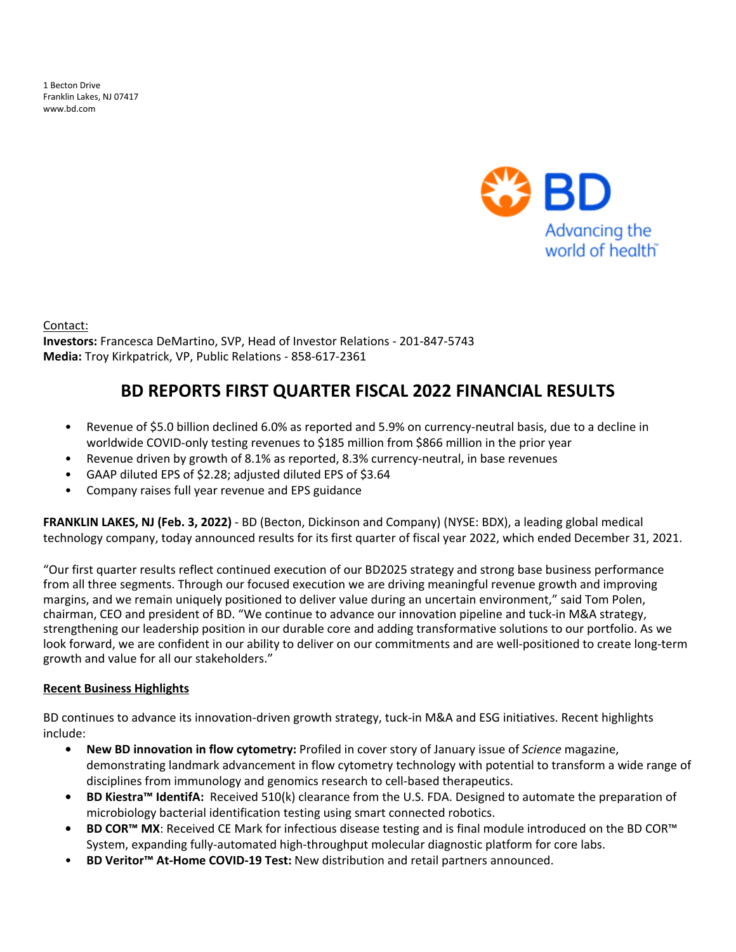1 Becton Drive Franklin Lakes, NJ 07417 www.bd.com



Contact: **Investors:** Francesca DeMartino, SVP, Head of Investor Relations - 201-847-5743 Media: Troy Kirkpatrick, VP, Public Relations - 858-617-2361

# **BD REPORTS FIRST QUARTER FISCAL 2022 FINANCIAL RESULTS**

- Revenue of \$5.0 billion declined 6.0% as reported and 5.9% on currency-neutral basis, due to a decline in worldwide COVID-only testing revenues to \$185 million from \$866 million in the prior year
- Revenue driven by growth of 8.1% as reported, 8.3% currency-neutral, in base revenues
- GAAP diluted EPS of \$2.28; adjusted diluted EPS of \$3.64
- Company raises full year revenue and EPS guidance

**FRANKLIN LAKES, NJ (Feb. 3, 2022)** - BD (Becton, Dickinson and Company) (NYSE: BDX), a leading global medical technology company, today announced results for its first quarter of fiscal year 2022, which ended December 31, 2021.

"Our first quarter results reflect continued execution of our BD2025 strategy and strong base business performance from all three segments. Through our focused execution we are driving meaningful revenue growth and improving margins, and we remain uniquely positioned to deliver value during an uncertain environment," said Tom Polen, chairman, CEO and president of BD. "We continue to advance our innovation pipeline and tuck-in M&A strategy, strengthening our leadership position in our durable core and adding transformative solutions to our portfolio. As we look forward, we are confident in our ability to deliver on our commitments and are well-positioned to create long-term growth and value for all our stakeholders."

#### **Recent Business Highlights**

BD continues to advance its innovation-driven growth strategy, tuck-in M&A and ESG initiatives. Recent highlights include: 

- **New BD innovation in flow cytometry:** Profiled in cover story of January issue of *Science* magazine, demonstrating landmark advancement in flow cytometry technology with potential to transform a wide range of disciplines from immunology and genomics research to cell-based therapeutics.
- **• BD Kiestra™ IdentifA:** Received 510(k) clearance from the U.S. FDA. Designed to automate the preparation of microbiology bacterial identification testing using smart connected robotics.
- **BD COR™ MX**: Received CE Mark for infectious disease testing and is final module introduced on the BD COR™ System, expanding fully-automated high-throughput molecular diagnostic platform for core labs.
- **BD Veritor™ At-Home COVID-19 Test:** New distribution and retail partners announced.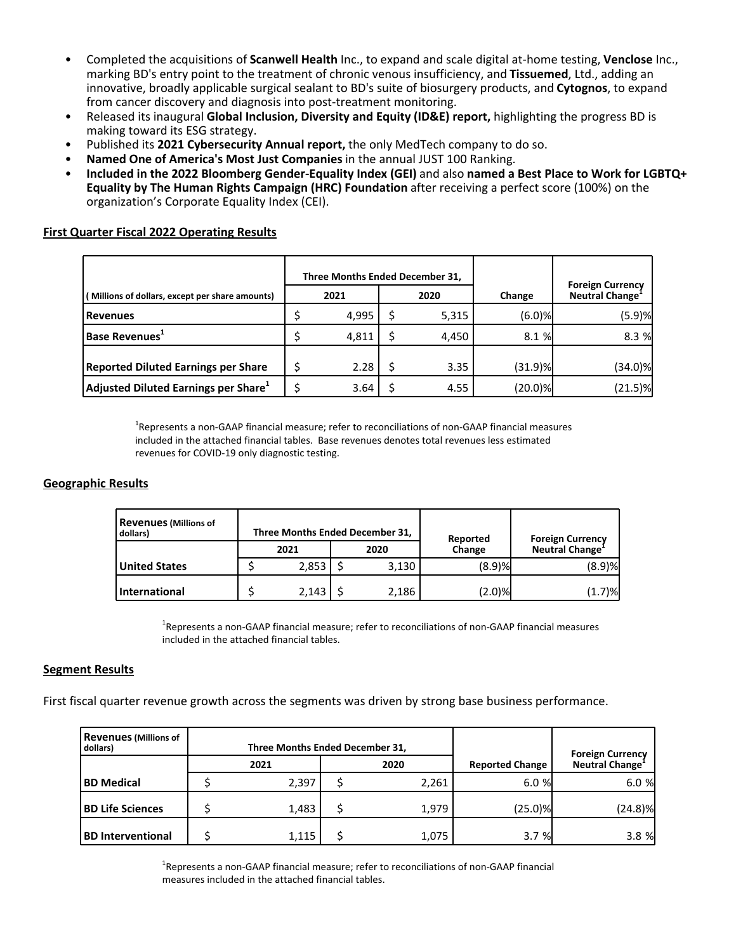- Completed the acquisitions of **Scanwell Health** Inc., to expand and scale digital at-home testing, **Venclose** Inc., marking BD's entry point to the treatment of chronic venous insufficiency, and Tissuemed, Ltd., adding an innovative, broadly applicable surgical sealant to BD's suite of biosurgery products, and **Cytognos**, to expand from cancer discovery and diagnosis into post-treatment monitoring.
- Released its inaugural **Global Inclusion, Diversity and Equity (ID&E) report,** highlighting the progress BD is making toward its ESG strategy.
- Published its 2021 Cybersecurity Annual report, the only MedTech company to do so.
- Named One of America's Most Just Companies in the annual JUST 100 Ranking.
- **Included in the 2022 Bloomberg Gender-Equality Index (GEI)** and also named a Best Place to Work for LGBTQ+ **Equality by The Human Rights Campaign (HRC) Foundation** after receiving a perfect score (100%) on the organization's Corporate Equality Index (CEI).

#### **First Quarter Fiscal 2022 Operating Results**

|                                                 |              | Three Months Ended December 31, |  |       |            | <b>Foreign Currency</b>     |  |
|-------------------------------------------------|--------------|---------------------------------|--|-------|------------|-----------------------------|--|
| (Millions of dollars, except per share amounts) | 2021<br>2020 |                                 |  |       | Change     | Neutral Change <sup>-</sup> |  |
| l Revenues                                      |              | 4.995                           |  | 5,315 | $(6.0)$ %  | (5.9)%                      |  |
| Base Revenues <sup>+</sup>                      |              | 4,811                           |  | 4.450 | 8.1 %      | 8.3%                        |  |
| <b>Reported Diluted Earnings per Share</b>      |              | 2.28                            |  | 3.35  | $(31.9)$ % | (34.0)%                     |  |
| $ $ Adjusted Diluted Earnings per Share $^1$    |              | 3.64                            |  | 4.55  | (20.0)%    | $(21.5)$ %                  |  |

 ${}^{1}$ Represents a non-GAAP financial measure; refer to reconciliations of non-GAAP financial measures included in the attached financial tables. Base revenues denotes total revenues less estimated revenues for COVID-19 only diagnostic testing.

#### **Geographic Results**

| <b>Revenues (Millions of</b><br>dollars) | Three Months Ended December 31,<br><b>Foreign Currency</b><br>Reported |       |  |       |        |                             |  |
|------------------------------------------|------------------------------------------------------------------------|-------|--|-------|--------|-----------------------------|--|
|                                          |                                                                        | 2021  |  | 2020  | Change | Neutral Change <sup>-</sup> |  |
| <b>United States</b>                     |                                                                        | 2,853 |  | 3,130 | (8.9)% | (8.9)%                      |  |
| International                            |                                                                        | 2.143 |  | 2,186 | (2.0)% | $(1.7)$ % $\blacksquare$    |  |

<sup>1</sup>Represents a non-GAAP financial measure; refer to reconciliations of non-GAAP financial measures included in the attached financial tables.

#### **Segment Results**

First fiscal quarter revenue growth across the segments was driven by strong base business performance.

| <b>Revenues (Millions of</b><br>dollars) | Three Months Ended December 31, |       |                        | <b>Foreign Currency</b> |  |
|------------------------------------------|---------------------------------|-------|------------------------|-------------------------|--|
|                                          | 2021                            | 2020  | <b>Reported Change</b> | Neutral Change          |  |
| <b>BD Medical</b>                        | 2,397                           | 2,261 | 6.0%                   | 6.0%                    |  |
| <b>BD Life Sciences</b>                  | 1,483                           | 1,979 | $(25.0)$ %             | (24.8)%                 |  |
| <b>BD</b> Interventional                 | 1.115                           | 1,075 | 3.7%                   | 3.8%                    |  |

 $^1$ Represents a non-GAAP financial measure; refer to reconciliations of non-GAAP financial measures included in the attached financial tables.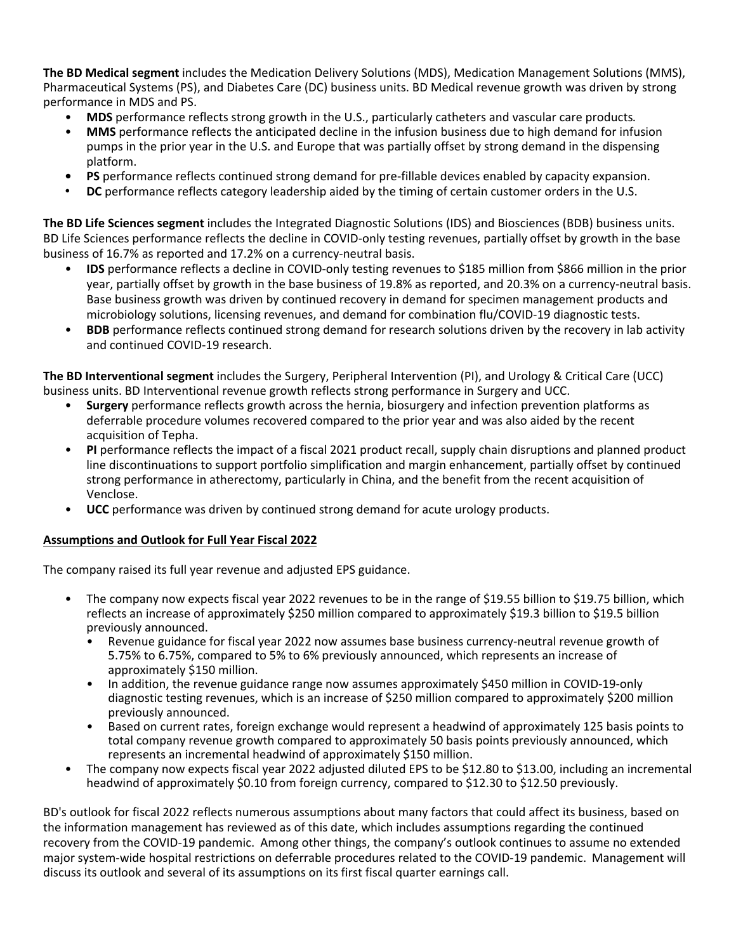**The BD Medical segment** includes the Medication Delivery Solutions (MDS), Medication Management Solutions (MMS), Pharmaceutical Systems (PS), and Diabetes Care (DC) business units. BD Medical revenue growth was driven by strong performance in MDS and PS.

- **MDS** performance reflects strong growth in the U.S., particularly catheters and vascular care products.
- MMS performance reflects the anticipated decline in the infusion business due to high demand for infusion pumps in the prior year in the U.S. and Europe that was partially offset by strong demand in the dispensing platform.
- **PS** performance reflects continued strong demand for pre-fillable devices enabled by capacity expansion.
- **DC** performance reflects category leadership aided by the timing of certain customer orders in the U.S.

**The BD Life Sciences segment** includes the Integrated Diagnostic Solutions (IDS) and Biosciences (BDB) business units. BD Life Sciences performance reflects the decline in COVID-only testing revenues, partially offset by growth in the base business of 16.7% as reported and 17.2% on a currency-neutral basis.

- **IDS** performance reflects a decline in COVID-only testing revenues to \$185 million from \$866 million in the prior year, partially offset by growth in the base business of 19.8% as reported, and 20.3% on a currency-neutral basis. Base business growth was driven by continued recovery in demand for specimen management products and microbiology solutions, licensing revenues, and demand for combination flu/COVID-19 diagnostic tests.
- **BDB** performance reflects continued strong demand for research solutions driven by the recovery in lab activity and continued COVID-19 research.

**The BD Interventional segment** includes the Surgery, Peripheral Intervention (PI), and Urology & Critical Care (UCC) business units. BD Interventional revenue growth reflects strong performance in Surgery and UCC.

- **Surgery** performance reflects growth across the hernia, biosurgery and infection prevention platforms as deferrable procedure volumes recovered compared to the prior year and was also aided by the recent acquisition of Tepha.
- **PI** performance reflects the impact of a fiscal 2021 product recall, supply chain disruptions and planned product line discontinuations to support portfolio simplification and margin enhancement, partially offset by continued strong performance in atherectomy, particularly in China, and the benefit from the recent acquisition of Venclose.
- **UCC** performance was driven by continued strong demand for acute urology products.

#### **Assumptions and Outlook for Full Year Fiscal 2022**

The company raised its full year revenue and adjusted EPS guidance.

- The company now expects fiscal year 2022 revenues to be in the range of \$19.55 billion to \$19.75 billion, which reflects an increase of approximately \$250 million compared to approximately \$19.3 billion to \$19.5 billion previously announced.
	- Revenue guidance for fiscal year 2022 now assumes base business currency-neutral revenue growth of 5.75% to 6.75%, compared to 5% to 6% previously announced, which represents an increase of approximately \$150 million.
	- In addition, the revenue guidance range now assumes approximately \$450 million in COVID-19-only diagnostic testing revenues, which is an increase of \$250 million compared to approximately \$200 million previously announced.
	- Based on current rates, foreign exchange would represent a headwind of approximately 125 basis points to total company revenue growth compared to approximately 50 basis points previously announced, which represents an incremental headwind of approximately \$150 million.
- The company now expects fiscal year 2022 adjusted diluted EPS to be \$12.80 to \$13.00, including an incremental headwind of approximately \$0.10 from foreign currency, compared to \$12.30 to \$12.50 previously.

BD's outlook for fiscal 2022 reflects numerous assumptions about many factors that could affect its business, based on the information management has reviewed as of this date, which includes assumptions regarding the continued recovery from the COVID-19 pandemic. Among other things, the company's outlook continues to assume no extended major system-wide hospital restrictions on deferrable procedures related to the COVID-19 pandemic. Management will discuss its outlook and several of its assumptions on its first fiscal quarter earnings call.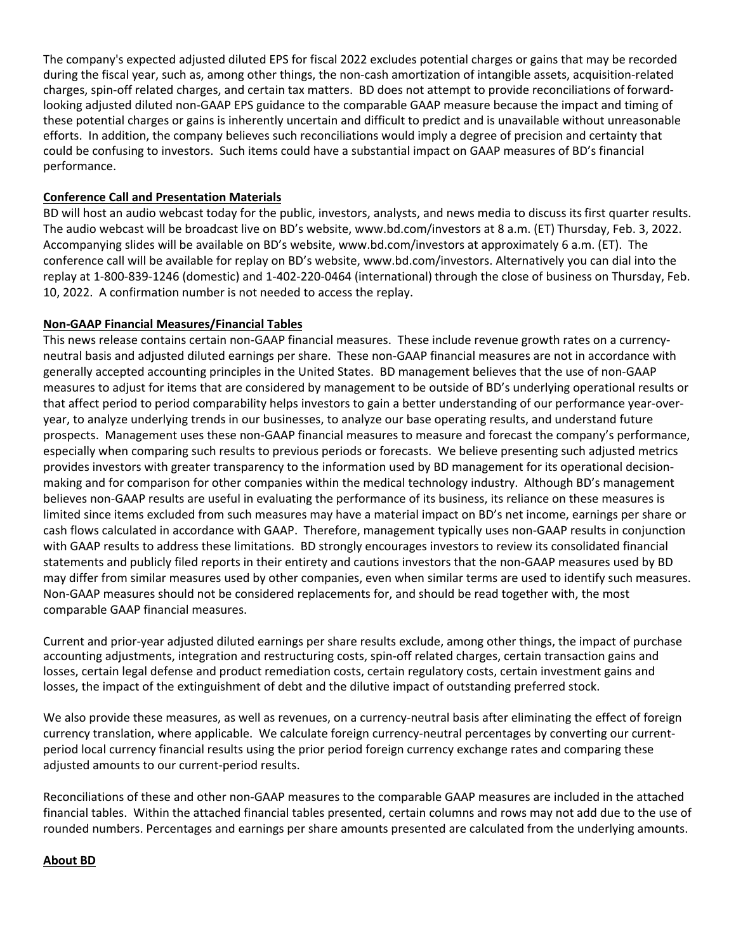The company's expected adjusted diluted EPS for fiscal 2022 excludes potential charges or gains that may be recorded during the fiscal year, such as, among other things, the non-cash amortization of intangible assets, acquisition-related charges, spin-off related charges, and certain tax matters. BD does not attempt to provide reconciliations of forwardlooking adjusted diluted non-GAAP EPS guidance to the comparable GAAP measure because the impact and timing of these potential charges or gains is inherently uncertain and difficult to predict and is unavailable without unreasonable efforts. In addition, the company believes such reconciliations would imply a degree of precision and certainty that could be confusing to investors. Such items could have a substantial impact on GAAP measures of BD's financial performance.

#### **Conference Call and Presentation Materials**

BD will host an audio webcast today for the public, investors, analysts, and news media to discuss its first quarter results. The audio webcast will be broadcast live on BD's website, www.bd.com/investors at 8 a.m. (ET) Thursday, Feb. 3, 2022. Accompanying slides will be available on BD's website, www.bd.com/investors at approximately 6 a.m. (ET). The conference call will be available for replay on BD's website, www.bd.com/investors. Alternatively you can dial into the replay at 1-800-839-1246 (domestic) and 1-402-220-0464 (international) through the close of business on Thursday, Feb. 10, 2022. A confirmation number is not needed to access the replay.

#### **Non-GAAP Financial Measures/Financial Tables**

This news release contains certain non-GAAP financial measures. These include revenue growth rates on a currencyneutral basis and adjusted diluted earnings per share. These non-GAAP financial measures are not in accordance with generally accepted accounting principles in the United States. BD management believes that the use of non-GAAP measures to adjust for items that are considered by management to be outside of BD's underlying operational results or that affect period to period comparability helps investors to gain a better understanding of our performance year-overyear, to analyze underlying trends in our businesses, to analyze our base operating results, and understand future prospects. Management uses these non-GAAP financial measures to measure and forecast the company's performance, especially when comparing such results to previous periods or forecasts. We believe presenting such adjusted metrics provides investors with greater transparency to the information used by BD management for its operational decisionmaking and for comparison for other companies within the medical technology industry. Although BD's management believes non-GAAP results are useful in evaluating the performance of its business, its reliance on these measures is limited since items excluded from such measures may have a material impact on BD's net income, earnings per share or cash flows calculated in accordance with GAAP. Therefore, management typically uses non-GAAP results in conjunction with GAAP results to address these limitations. BD strongly encourages investors to review its consolidated financial statements and publicly filed reports in their entirety and cautions investors that the non-GAAP measures used by BD may differ from similar measures used by other companies, even when similar terms are used to identify such measures. Non-GAAP measures should not be considered replacements for, and should be read together with, the most comparable GAAP financial measures.

Current and prior-year adjusted diluted earnings per share results exclude, among other things, the impact of purchase accounting adjustments, integration and restructuring costs, spin-off related charges, certain transaction gains and losses, certain legal defense and product remediation costs, certain regulatory costs, certain investment gains and losses, the impact of the extinguishment of debt and the dilutive impact of outstanding preferred stock.

We also provide these measures, as well as revenues, on a currency-neutral basis after eliminating the effect of foreign currency translation, where applicable. We calculate foreign currency-neutral percentages by converting our currentperiod local currency financial results using the prior period foreign currency exchange rates and comparing these adjusted amounts to our current-period results.

Reconciliations of these and other non-GAAP measures to the comparable GAAP measures are included in the attached financial tables. Within the attached financial tables presented, certain columns and rows may not add due to the use of rounded numbers. Percentages and earnings per share amounts presented are calculated from the underlying amounts.

#### **About BD**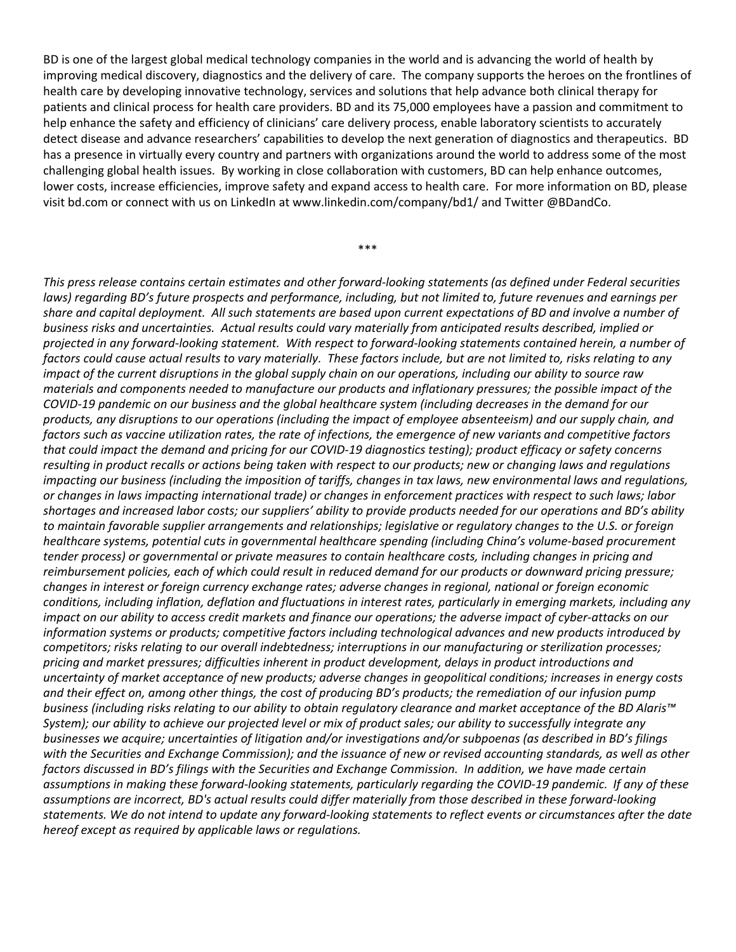BD is one of the largest global medical technology companies in the world and is advancing the world of health by improving medical discovery, diagnostics and the delivery of care. The company supports the heroes on the frontlines of health care by developing innovative technology, services and solutions that help advance both clinical therapy for patients and clinical process for health care providers. BD and its 75,000 employees have a passion and commitment to help enhance the safety and efficiency of clinicians' care delivery process, enable laboratory scientists to accurately detect disease and advance researchers' capabilities to develop the next generation of diagnostics and therapeutics. BD has a presence in virtually every country and partners with organizations around the world to address some of the most challenging global health issues. By working in close collaboration with customers, BD can help enhance outcomes, lower costs, increase efficiencies, improve safety and expand access to health care. For more information on BD, please visit bd.com or connect with us on LinkedIn at www.linkedin.com/company/bd1/ and Twitter @BDandCo.

\*\*\*

This press release contains certain estimates and other forward-looking statements (as defined under Federal securities *laws)* regarding BD's future prospects and performance, including, but not limited to, future revenues and earnings per share and capital deployment. All such statements are based upon current expectations of BD and involve a number of business risks and uncertainties. Actual results could vary materially from anticipated results described, implied or projected in any forward-looking statement. With respect to forward-looking statements contained herein, a number of factors could cause actual results to vary materially. These factors include, but are not limited to, risks relating to any *impact* of the current disruptions in the global supply chain on our operations, including our ability to source raw *materials and components needed to manufacture our products and inflationary pressures; the possible impact of the COVID-19 pandemic on our business and the global healthcare system (including decreases in the demand for our*  products, any disruptions to our operations (including the impact of employee absenteeism) and our supply chain, and *factors* such as vaccine utilization rates, the rate of infections, the emergence of new variants and competitive factors *that could impact the demand and pricing for our COVID-19 diagnostics testing); product efficacy or safety concerns resulting* in product recalls or actions being taken with respect to our products; new or changing laws and regulations *impacting* our business (including the imposition of tariffs, changes in tax laws, new environmental laws and regulations, or changes in laws impacting international trade) or changes in enforcement practices with respect to such laws; labor shortages and increased labor costs; our suppliers' ability to provide products needed for our operations and BD's ability to maintain favorable supplier arrangements and relationships; legislative or regulatory changes to the U.S. or foreign *healthcare systems, potential cuts in governmental healthcare spending (including China's volume-based procurement tender process)* or governmental or private measures to contain healthcare costs, including changes in pricing and reimbursement policies, each of which could result in reduced demand for our products or downward pricing pressure; *changes in interest or foreign currency exchange rates; adverse changes in regional, national or foreign economic* conditions, including inflation, deflation and fluctuations in interest rates, particularly in emerging markets, including any *impact* on our ability to access credit markets and finance our operations; the adverse impact of cyber-attacks on our *information systems or products; competitive factors including technological advances and new products introduced by competitors; risks relating to our overall indebtedness; interruptions in our manufacturing or sterilization processes;* pricing and market pressures; difficulties inherent in product development, delays in product introductions and uncertainty of market acceptance of new products; adverse changes in geopolitical conditions; increases in energy costs and their effect on, among other things, the cost of producing BD's products; the remediation of our infusion pump *business (including risks relating to our ability to obtain regulatory clearance and market acceptance of the BD Alaris™ System);* our ability to achieve our projected level or mix of product sales; our ability to successfully integrate any *businesses* we acquire; uncertainties of litigation and/or investigations and/or subpoenas (as described in BD's filings with the Securities and Exchange Commission); and the issuance of new or revised accounting standards, as well as other *factors discussed in BD's filings with the Securities and Exchange Commission. In addition, we have made certain* assumptions in making these forward-looking statements, particularly regarding the COVID-19 pandemic. If any of these assumptions are incorrect, BD's actual results could differ materially from those described in these forward-looking statements. We do not intend to update any forward-looking statements to reflect events or circumstances after the date *hereof except as required by applicable laws or regulations.*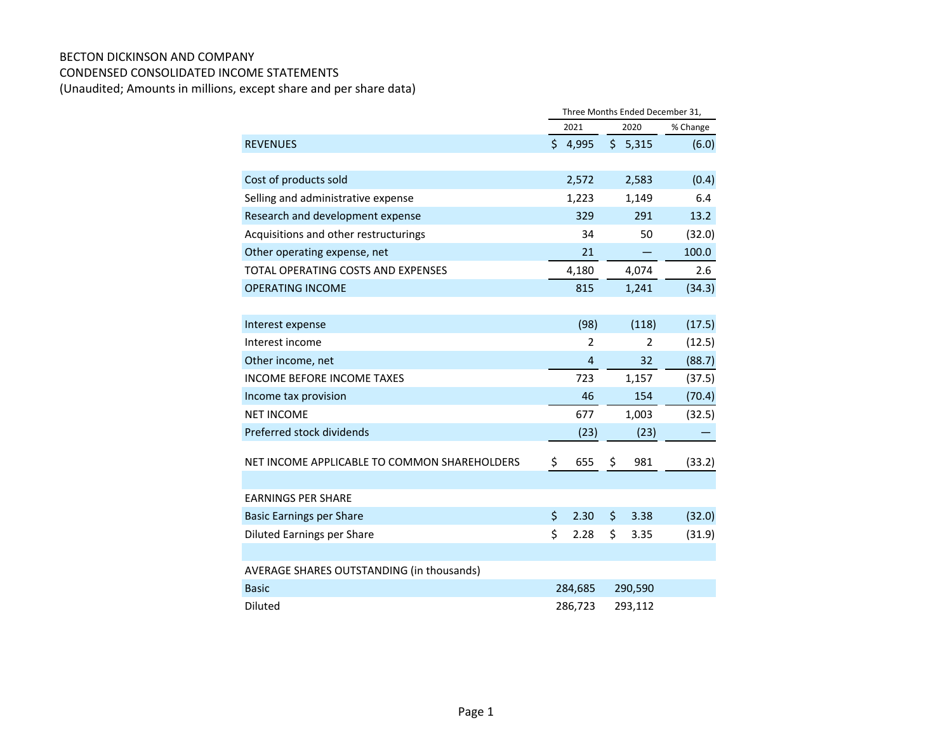#### BECTON DICKINSON AND COMPANY CONDENSED CONSOLIDATED INCOME STATEMENTS

(Unaudited; Amounts in millions, except share and per share data)

|                                                  | Three Months Ended December 31, |    |                |          |
|--------------------------------------------------|---------------------------------|----|----------------|----------|
|                                                  | 2021                            |    | 2020           | % Change |
| <b>REVENUES</b>                                  | \$4,995                         |    | \$5,315        | (6.0)    |
|                                                  |                                 |    |                |          |
| Cost of products sold                            | 2,572                           |    | 2,583          | (0.4)    |
| Selling and administrative expense               | 1,223                           |    | 1,149          | 6.4      |
| Research and development expense                 | 329                             |    | 291            | 13.2     |
| Acquisitions and other restructurings            | 34                              |    | 50             | (32.0)   |
| Other operating expense, net                     | 21                              |    |                | 100.0    |
| <b>TOTAL OPERATING COSTS AND EXPENSES</b>        | 4,180                           |    | 4,074          | 2.6      |
| <b>OPERATING INCOME</b>                          | 815                             |    | 1,241          | (34.3)   |
|                                                  |                                 |    |                |          |
| Interest expense                                 | (98)                            |    | (118)          | (17.5)   |
| Interest income                                  | 2                               |    | $\overline{2}$ | (12.5)   |
| Other income, net                                | 4                               |    | 32             | (88.7)   |
| <b>INCOME BEFORE INCOME TAXES</b>                | 723                             |    | 1,157          | (37.5)   |
| Income tax provision                             | 46                              |    | 154            | (70.4)   |
| <b>NET INCOME</b>                                | 677                             |    | 1,003          | (32.5)   |
| Preferred stock dividends                        | (23)                            |    | (23)           |          |
| NET INCOME APPLICABLE TO COMMON SHAREHOLDERS     | \$<br>655                       | \$ | 981            | (33.2)   |
| <b>EARNINGS PER SHARE</b>                        |                                 |    |                |          |
| <b>Basic Earnings per Share</b>                  | \$<br>2.30                      | \$ | 3.38           | (32.0)   |
| <b>Diluted Earnings per Share</b>                | \$<br>2.28                      | \$ | 3.35           | (31.9)   |
|                                                  |                                 |    |                |          |
| <b>AVERAGE SHARES OUTSTANDING (in thousands)</b> |                                 |    |                |          |
| <b>Basic</b>                                     | 284,685                         |    | 290,590        |          |
| Diluted                                          | 286,723                         |    | 293,112        |          |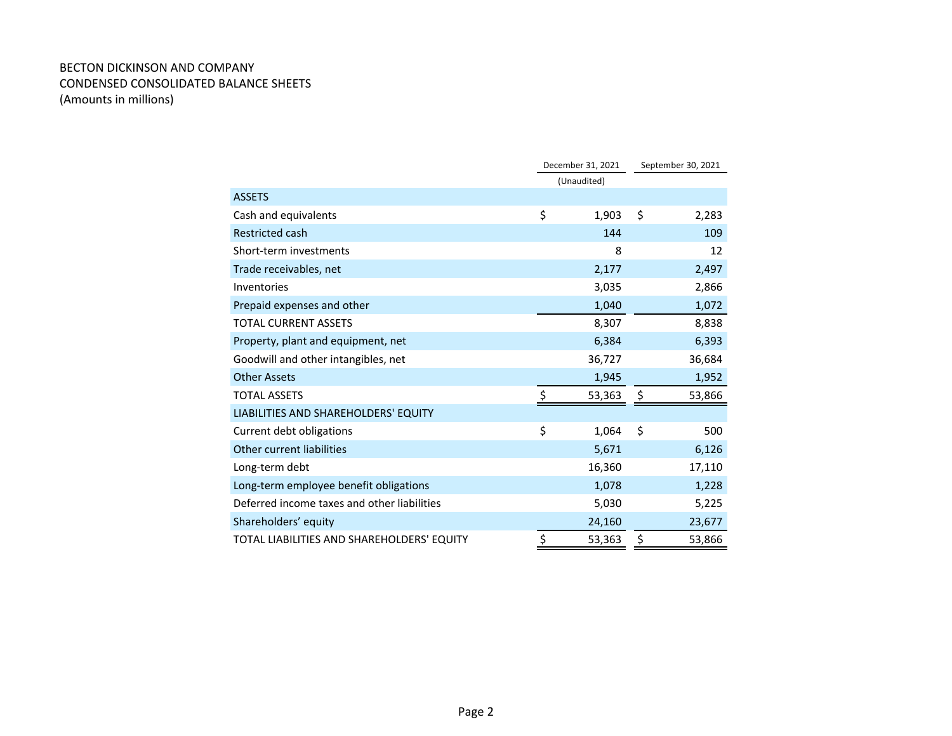#### BECTON DICKINSON AND COMPANY CONDENSED CONSOLIDATED BALANCE SHEETS (Amounts in millions)

|                                             | December 31, 2021 | September 30, 2021 |        |
|---------------------------------------------|-------------------|--------------------|--------|
|                                             | (Unaudited)       |                    |        |
| <b>ASSETS</b>                               |                   |                    |        |
| Cash and equivalents                        | \$<br>1,903       | \$                 | 2,283  |
| <b>Restricted cash</b>                      | 144               |                    | 109    |
| Short-term investments                      | 8                 |                    | 12     |
| Trade receivables, net                      | 2,177             |                    | 2,497  |
| Inventories                                 | 3,035             |                    | 2,866  |
| Prepaid expenses and other                  | 1,040             |                    | 1,072  |
| <b>TOTAL CURRENT ASSETS</b>                 | 8,307             |                    | 8,838  |
| Property, plant and equipment, net          | 6,384             |                    | 6,393  |
| Goodwill and other intangibles, net         | 36,727            |                    | 36,684 |
| <b>Other Assets</b>                         | 1,945             |                    | 1,952  |
| <b>TOTAL ASSETS</b>                         | \$<br>53,363      | \$                 | 53,866 |
| LIABILITIES AND SHAREHOLDERS' EQUITY        |                   |                    |        |
| Current debt obligations                    | \$<br>1,064       | \$                 | 500    |
| Other current liabilities                   | 5,671             |                    | 6,126  |
| Long-term debt                              | 16,360            |                    | 17,110 |
| Long-term employee benefit obligations      | 1,078             |                    | 1,228  |
| Deferred income taxes and other liabilities | 5,030             |                    | 5,225  |
| Shareholders' equity                        | 24,160            |                    | 23,677 |
| TOTAL LIABILITIES AND SHAREHOLDERS' EQUITY  | \$<br>53,363      | \$                 | 53,866 |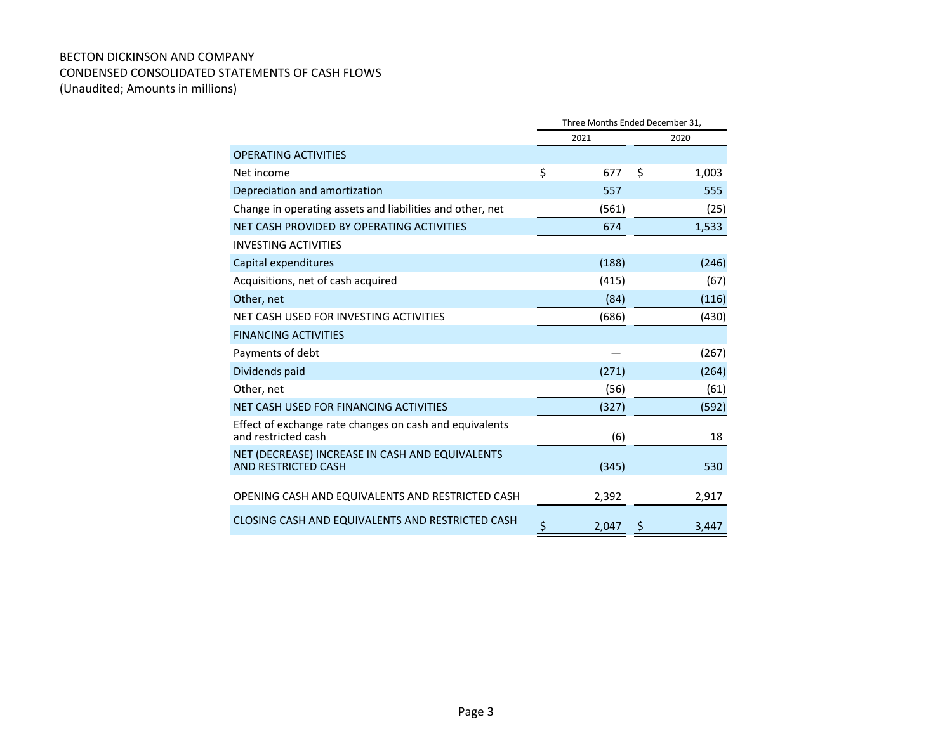#### BECTON DICKINSON AND COMPANY CONDENSED CONSOLIDATED STATEMENTS OF CASH FLOWS (Unaudited; Amounts in millions)

|                                                                                | Three Months Ended December 31, |       |      |       |  |
|--------------------------------------------------------------------------------|---------------------------------|-------|------|-------|--|
|                                                                                |                                 | 2021  | 2020 |       |  |
| <b>OPERATING ACTIVITIES</b>                                                    |                                 |       |      |       |  |
| Net income                                                                     | \$                              | 677   | \$   | 1,003 |  |
| Depreciation and amortization                                                  |                                 | 557   |      | 555   |  |
| Change in operating assets and liabilities and other, net                      |                                 | (561) |      | (25)  |  |
| NET CASH PROVIDED BY OPERATING ACTIVITIES                                      |                                 | 674   |      | 1,533 |  |
| <b>INVESTING ACTIVITIES</b>                                                    |                                 |       |      |       |  |
| Capital expenditures                                                           |                                 | (188) |      | (246) |  |
| Acquisitions, net of cash acquired                                             |                                 | (415) |      | (67)  |  |
| Other, net                                                                     |                                 | (84)  |      | (116) |  |
| NET CASH USED FOR INVESTING ACTIVITIES                                         |                                 | (686) |      | (430) |  |
| <b>FINANCING ACTIVITIES</b>                                                    |                                 |       |      |       |  |
| Payments of debt                                                               |                                 |       |      | (267) |  |
| Dividends paid                                                                 |                                 | (271) |      | (264) |  |
| Other, net                                                                     |                                 | (56)  |      | (61)  |  |
| NET CASH USED FOR FINANCING ACTIVITIES                                         |                                 | (327) |      | (592) |  |
| Effect of exchange rate changes on cash and equivalents<br>and restricted cash |                                 | (6)   |      | 18    |  |
| NET (DECREASE) INCREASE IN CASH AND EQUIVALENTS<br>AND RESTRICTED CASH         |                                 | (345) |      | 530   |  |
| OPENING CASH AND EQUIVALENTS AND RESTRICTED CASH                               |                                 | 2,392 |      | 2,917 |  |
| CLOSING CASH AND EQUIVALENTS AND RESTRICTED CASH                               | \$                              | 2,047 | Ş    | 3,447 |  |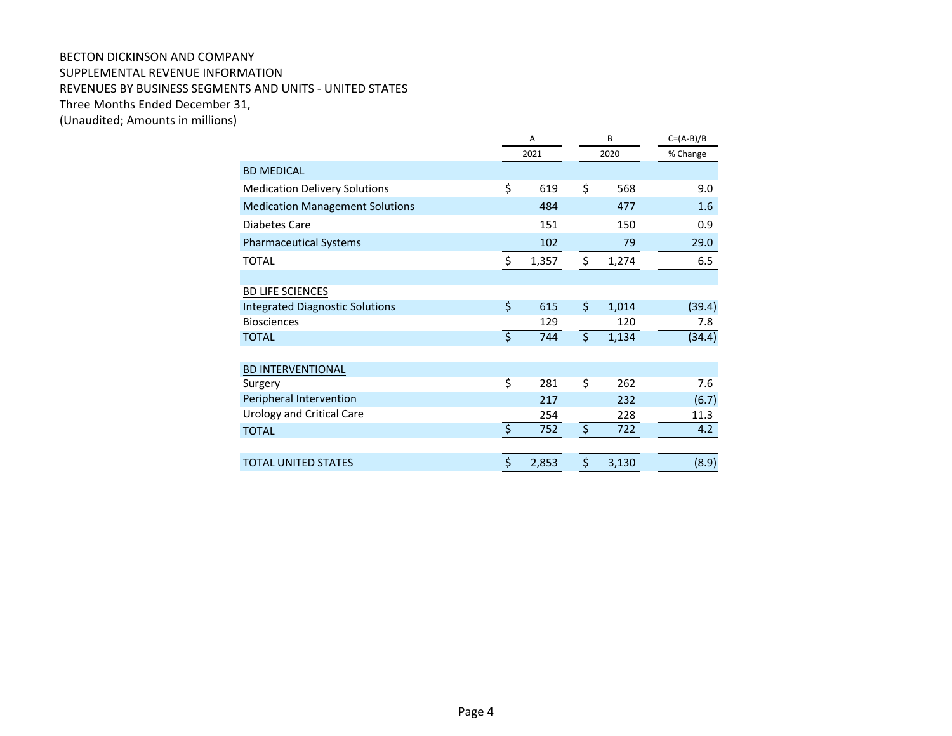#### BECTON DICKINSON AND COMPANY SUPPLEMENTAL REVENUE INFORMATION REVENUES BY BUSINESS SEGMENTS AND UNITS - UNITED STATES Three Months Ended December 31, (Unaudited; Amounts in millions)

|                                        | A       |       |    | B     | $C=(A-B)/B$ |  |
|----------------------------------------|---------|-------|----|-------|-------------|--|
|                                        |         | 2021  |    | 2020  | % Change    |  |
| <b>BD MEDICAL</b>                      |         |       |    |       |             |  |
| <b>Medication Delivery Solutions</b>   | \$      | 619   | \$ | 568   | 9.0         |  |
| <b>Medication Management Solutions</b> |         | 484   |    | 477   | 1.6         |  |
| Diabetes Care                          |         | 151   |    | 150   | 0.9         |  |
| <b>Pharmaceutical Systems</b>          |         | 102   |    | 79    | 29.0        |  |
| <b>TOTAL</b>                           | \$      | 1,357 | \$ | 1,274 | 6.5         |  |
|                                        |         |       |    |       |             |  |
| <b>BD LIFE SCIENCES</b>                |         |       |    |       |             |  |
| <b>Integrated Diagnostic Solutions</b> | \$      | 615   | \$ | 1,014 | (39.4)      |  |
| <b>Biosciences</b>                     |         | 129   |    | 120   | 7.8         |  |
| <b>TOTAL</b>                           | ड़      | 744   | इ  | 1,134 | (34.4)      |  |
|                                        |         |       |    |       |             |  |
| <b>BD INTERVENTIONAL</b>               |         |       |    |       |             |  |
| Surgery                                | \$      | 281   | \$ | 262   | 7.6         |  |
| Peripheral Intervention                |         | 217   |    | 232   | (6.7)       |  |
| <b>Urology and Critical Care</b>       |         | 254   |    | 228   | 11.3        |  |
| <b>TOTAL</b>                           | ड़      | 752   | ड़ | 722   | 4.2         |  |
|                                        |         |       |    |       |             |  |
| <b>TOTAL UNITED STATES</b>             | $\zeta$ | 2,853 | \$ | 3,130 | (8.9)       |  |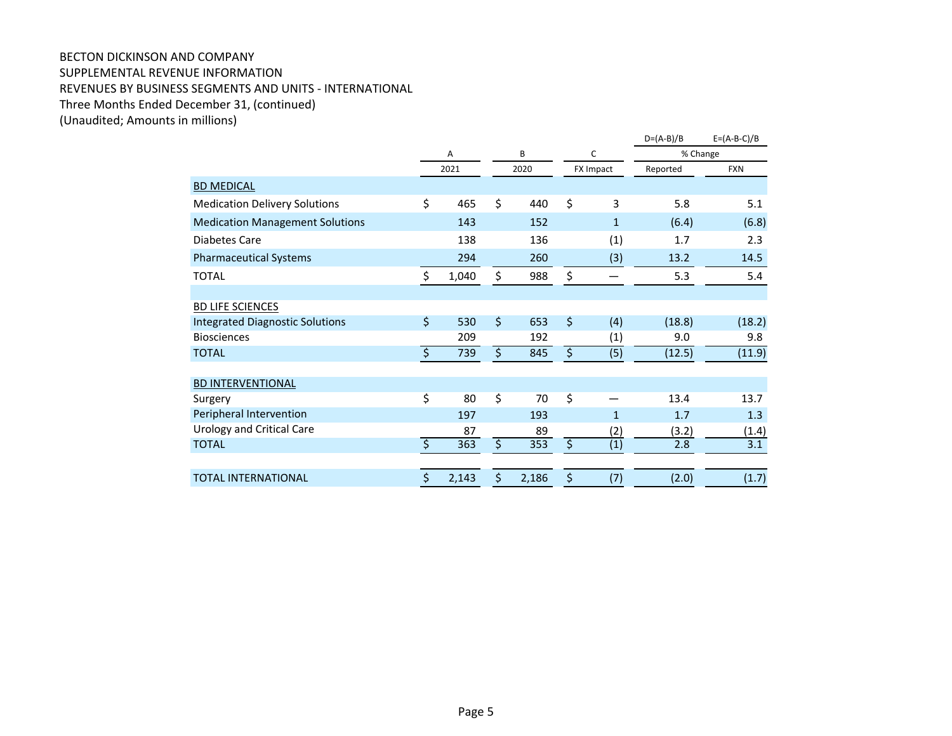## BECTON DICKINSON AND COMPANY SUPPLEMENTAL REVENUE INFORMATION REVENUES BY BUSINESS SEGMENTS AND UNITS - INTERNATIONAL Three Months Ended December 31, (continued)

(Unaudited; Amounts in millions)

|                                        |                        |       |                         |       |                        |              | $D=(A-B)/B$ | $E = (A-B-C)/B$ |
|----------------------------------------|------------------------|-------|-------------------------|-------|------------------------|--------------|-------------|-----------------|
|                                        |                        | A     |                         | B     |                        | С            | % Change    |                 |
|                                        |                        | 2021  |                         | 2020  | <b>FX Impact</b>       |              | Reported    | <b>FXN</b>      |
| <b>BD MEDICAL</b>                      |                        |       |                         |       |                        |              |             |                 |
| <b>Medication Delivery Solutions</b>   | \$                     | 465   | \$                      | 440   | \$                     | 3            | 5.8         | 5.1             |
| <b>Medication Management Solutions</b> |                        | 143   |                         | 152   |                        | $\mathbf{1}$ | (6.4)       | (6.8)           |
| <b>Diabetes Care</b>                   |                        | 138   |                         | 136   |                        | (1)          | 1.7         | 2.3             |
| <b>Pharmaceutical Systems</b>          |                        | 294   |                         | 260   |                        | (3)          | 13.2        | 14.5            |
| <b>TOTAL</b>                           | \$                     | 1,040 | \$                      | 988   | \$                     | —            | 5.3         | 5.4             |
|                                        |                        |       |                         |       |                        |              |             |                 |
| <b>BD LIFE SCIENCES</b>                |                        |       |                         |       |                        |              |             |                 |
| <b>Integrated Diagnostic Solutions</b> | $\zeta$                | 530   | $\zeta$                 | 653   | $\zeta$                | (4)          | (18.8)      | (18.2)          |
| <b>Biosciences</b>                     |                        | 209   |                         | 192   |                        | (1)          | 9.0         | 9.8             |
| <b>TOTAL</b>                           | ड़                     | 739   | इ                       | 845   | \$                     | (5)          | (12.5)      | (11.9)          |
|                                        |                        |       |                         |       |                        |              |             |                 |
| <b>BD INTERVENTIONAL</b>               |                        |       |                         |       |                        |              |             |                 |
| Surgery                                | \$                     | 80    | $\overline{\mathsf{S}}$ | 70    | \$                     |              | 13.4        | 13.7            |
| Peripheral Intervention                |                        | 197   |                         | 193   |                        | $\mathbf{1}$ | 1.7         | 1.3             |
| <b>Urology and Critical Care</b>       |                        | 87    |                         | 89    |                        | (2)          | (3.2)       | (1.4)           |
| <b>TOTAL</b>                           | $\overline{\varsigma}$ | 363   | $\overline{\varsigma}$  | 353   | $\overline{\varsigma}$ | (1)          | 2.8         | 3.1             |
|                                        |                        |       |                         |       |                        |              |             |                 |
| <b>TOTAL INTERNATIONAL</b>             | \$                     | 2,143 | \$                      | 2,186 | \$                     | (7)          | (2.0)       | (1.7)           |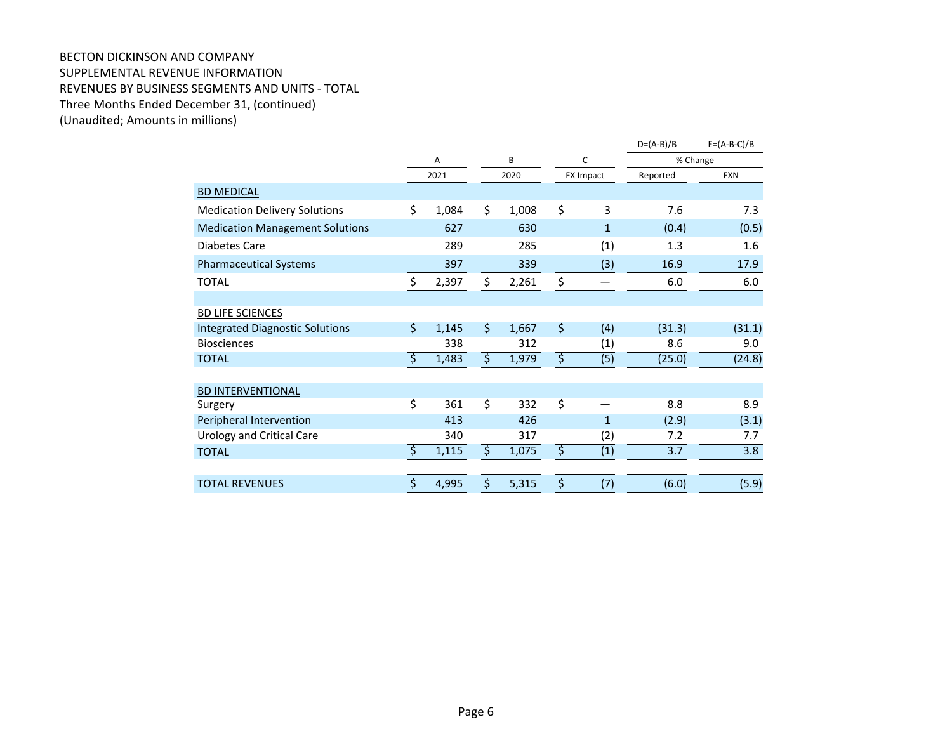#### BECTON DICKINSON AND COMPANY SUPPLEMENTAL REVENUE INFORMATION REVENUES BY BUSINESS SEGMENTS AND UNITS - TOTAL Three Months Ended December 31, (continued) (Unaudited; Amounts in millions)

|                                        |                        |       |                        |       |                        |                  | $D=(A-B)/B$ | $E = (A-B-C)/B$ |
|----------------------------------------|------------------------|-------|------------------------|-------|------------------------|------------------|-------------|-----------------|
|                                        |                        | Α     |                        | B     | С                      |                  | % Change    |                 |
|                                        |                        | 2021  |                        | 2020  |                        | FX Impact        | Reported    | <b>FXN</b>      |
| <b>BD MEDICAL</b>                      |                        |       |                        |       |                        |                  |             |                 |
| <b>Medication Delivery Solutions</b>   | \$                     | 1,084 | \$                     | 1,008 | \$                     | 3                | 7.6         | 7.3             |
| <b>Medication Management Solutions</b> |                        | 627   |                        | 630   |                        | $\mathbf{1}$     | (0.4)       | (0.5)           |
| Diabetes Care                          |                        | 289   |                        | 285   |                        | (1)              | 1.3         | 1.6             |
| <b>Pharmaceutical Systems</b>          |                        | 397   |                        | 339   |                        | (3)              | 16.9        | 17.9            |
| <b>TOTAL</b>                           | $\zeta$                | 2,397 | \$                     | 2,261 | \$                     |                  | 6.0         | 6.0             |
|                                        |                        |       |                        |       |                        |                  |             |                 |
| <b>BD LIFE SCIENCES</b>                |                        |       |                        |       |                        |                  |             |                 |
| <b>Integrated Diagnostic Solutions</b> | \$                     | 1,145 | $\zeta$                | 1,667 | \$                     | (4)              | (31.3)      | (31.1)          |
| <b>Biosciences</b>                     |                        | 338   |                        | 312   |                        | (1)              | 8.6         | 9.0             |
| <b>TOTAL</b>                           | $\overline{\varsigma}$ | 1,483 | $\overline{\varsigma}$ | 1,979 | $\overline{\varsigma}$ | (5)              | (25.0)      | (24.8)          |
|                                        |                        |       |                        |       |                        |                  |             |                 |
| <b>BD INTERVENTIONAL</b>               |                        |       |                        |       |                        |                  |             |                 |
| Surgery                                | \$                     | 361   | \$                     | 332   | \$                     |                  | 8.8         | 8.9             |
| Peripheral Intervention                |                        | 413   |                        | 426   |                        | 1                | (2.9)       | (3.1)           |
| <b>Urology and Critical Care</b>       |                        | 340   |                        | 317   |                        | (2)              | 7.2         | 7.7             |
| <b>TOTAL</b>                           | $\overline{\varsigma}$ | 1,115 | $\overline{\varsigma}$ | 1,075 | $\overline{\varsigma}$ | $\overline{(1)}$ | 3.7         | 3.8             |
|                                        |                        |       |                        |       |                        |                  |             |                 |
| <b>TOTAL REVENUES</b>                  | \$                     | 4,995 | \$                     | 5,315 | \$                     | (7)              | (6.0)       | (5.9)           |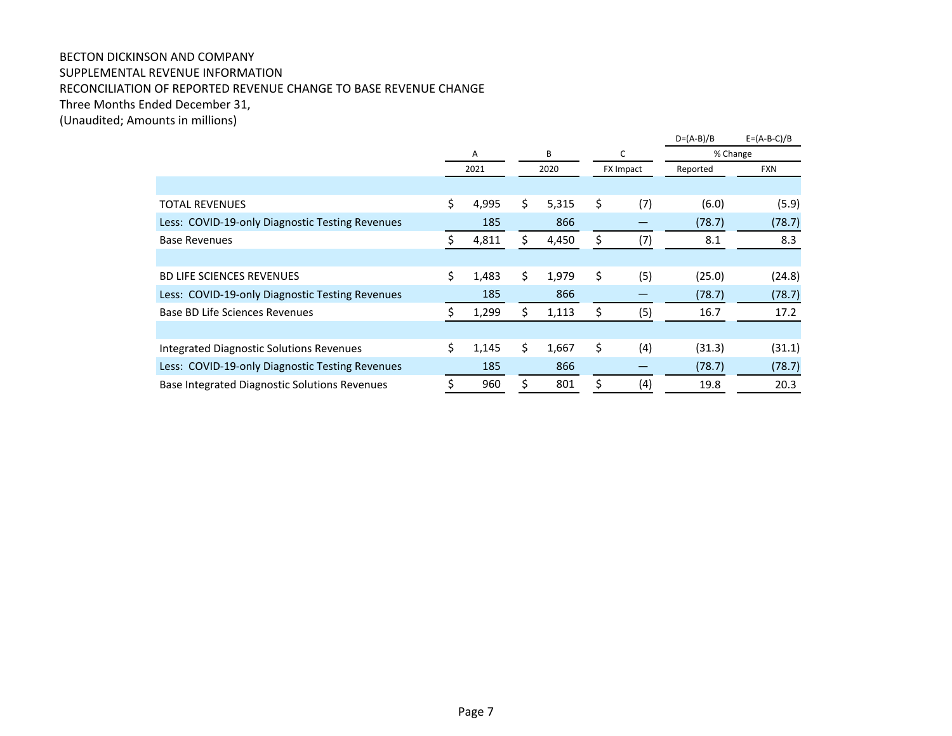### BECTON DICKINSON AND COMPANY SUPPLEMENTAL REVENUE INFORMATION RECONCILIATION OF REPORTED REVENUE CHANGE TO BASE REVENUE CHANGE Three Months Ended December 31,

(Unaudited; Amounts in millions)

|                                                 |    |       |    |       |    |                  | $D=(A-B)/B$ | $E = (A-B-C)/B$ |
|-------------------------------------------------|----|-------|----|-------|----|------------------|-------------|-----------------|
|                                                 |    | Α     |    | B     |    | c                | % Change    |                 |
|                                                 |    | 2021  |    | 2020  |    | <b>FX Impact</b> | Reported    | <b>FXN</b>      |
|                                                 |    |       |    |       |    |                  |             |                 |
| <b>TOTAL REVENUES</b>                           | \$ | 4,995 | \$ | 5,315 | \$ | (7)              | (6.0)       | (5.9)           |
| Less: COVID-19-only Diagnostic Testing Revenues |    | 185   |    | 866   |    |                  | (78.7)      | (78.7)          |
| <b>Base Revenues</b>                            | ς  | 4,811 | S. | 4,450 | \$ | (7)              | 8.1         | 8.3             |
|                                                 |    |       |    |       |    |                  |             |                 |
| <b>BD LIFE SCIENCES REVENUES</b>                | \$ | 1,483 | \$ | 1,979 | \$ | (5)              | (25.0)      | (24.8)          |
| Less: COVID-19-only Diagnostic Testing Revenues |    | 185   |    | 866   |    |                  | (78.7)      | (78.7)          |
| Base BD Life Sciences Revenues                  |    | 1,299 | \$ | 1,113 | \$ | (5)              | 16.7        | 17.2            |
|                                                 |    |       |    |       |    |                  |             |                 |
| Integrated Diagnostic Solutions Revenues        | \$ | 1,145 | \$ | 1,667 | \$ | (4)              | (31.3)      | (31.1)          |
| Less: COVID-19-only Diagnostic Testing Revenues |    | 185   |    | 866   |    |                  | (78.7)      | (78.7)          |
| Base Integrated Diagnostic Solutions Revenues   | Ś  | 960   | Ŝ. | 801   | Ś. | (4)              | 19.8        | 20.3            |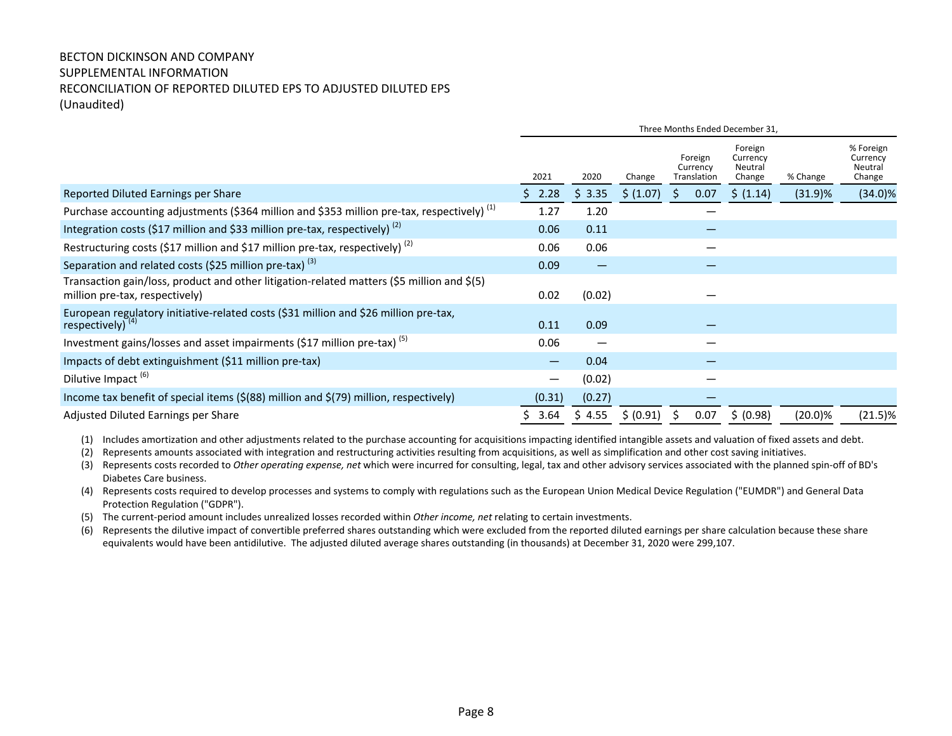### BECTON DICKINSON AND COMPANY SUPPLEMENTAL INFORMATION RECONCILIATION OF REPORTED DILUTED EPS TO ADJUSTED DILUTED EPS (Unaudited)

|                                                                                                                              | Three Months Ended December 31, |                          |           |                                    |      |                                          |            |                                            |
|------------------------------------------------------------------------------------------------------------------------------|---------------------------------|--------------------------|-----------|------------------------------------|------|------------------------------------------|------------|--------------------------------------------|
|                                                                                                                              | 2021                            | 2020                     | Change    | Foreign<br>Currency<br>Translation |      | Foreign<br>Currency<br>Neutral<br>Change | % Change   | % Foreign<br>Currency<br>Neutral<br>Change |
| Reported Diluted Earnings per Share                                                                                          | 2.28<br>S                       | \$3.35                   | \$ (1.07) | S.                                 | 0.07 | \$ (1.14)                                | (31.9)%    | $(34.0)\%$                                 |
| Purchase accounting adjustments (\$364 million and \$353 million pre-tax, respectively) <sup>(1)</sup>                       | 1.27                            | 1.20                     |           |                                    |      |                                          |            |                                            |
| Integration costs (\$17 million and \$33 million pre-tax, respectively) <sup>(2)</sup>                                       | 0.06                            | 0.11                     |           |                                    |      |                                          |            |                                            |
| Restructuring costs (\$17 million and \$17 million pre-tax, respectively) <sup>(2)</sup>                                     | 0.06                            | 0.06                     |           |                                    |      |                                          |            |                                            |
| Separation and related costs (\$25 million pre-tax) $(3)$                                                                    | 0.09                            | —                        |           |                                    |      |                                          |            |                                            |
| Transaction gain/loss, product and other litigation-related matters (\$5 million and \$(5)<br>million pre-tax, respectively) | 0.02                            | (0.02)                   |           |                                    |      |                                          |            |                                            |
| European regulatory initiative-related costs (\$31 million and \$26 million pre-tax, respectively) <sup>(4)</sup>            | 0.11                            | 0.09                     |           |                                    |      |                                          |            |                                            |
| Investment gains/losses and asset impairments (\$17 million pre-tax) <sup>(5)</sup>                                          | 0.06                            | $\overline{\phantom{m}}$ |           |                                    |      |                                          |            |                                            |
| Impacts of debt extinguishment (\$11 million pre-tax)                                                                        | —                               | 0.04                     |           |                                    |      |                                          |            |                                            |
| Dilutive Impact <sup>(6)</sup>                                                                                               | $\hspace{0.1mm}-\hspace{0.1mm}$ | (0.02)                   |           |                                    |      |                                          |            |                                            |
| Income tax benefit of special items (\$(88) million and \$(79) million, respectively)                                        | (0.31)                          | (0.27)                   |           |                                    |      |                                          |            |                                            |
| Adjusted Diluted Earnings per Share                                                                                          | 3.64                            | \$4.55                   | \$ (0.91) | Ś.                                 | 0.07 | \$ (0.98)                                | $(20.0)\%$ | $(21.5)\%$                                 |

- (1) Includes amortization and other adjustments related to the purchase accounting for acquisitions impacting identified intangible assets and valuation of fixed assets and debt.
- (2) Represents amounts associated with integration and restructuring activities resulting from acquisitions, as well as simplification and other cost saving initiatives.
- (3) Represents costs recorded to Other operating expense, net which were incurred for consulting, legal, tax and other advisory services associated with the planned spin-off of BD's Diabetes Care business.
- (4) Represents costs required to develop processes and systems to comply with regulations such as the European Union Medical Device Regulation ("EUMDR") and General Data Protection Regulation ("GDPR").
- (5) The current-period amount includes unrealized losses recorded within Other income, net relating to certain investments.
- (6) Represents the dilutive impact of convertible preferred shares outstanding which were excluded from the reported diluted earnings per share calculation because these share equivalents would have been antidilutive. The adjusted diluted average shares outstanding (in thousands) at December 31, 2020 were 299,107.